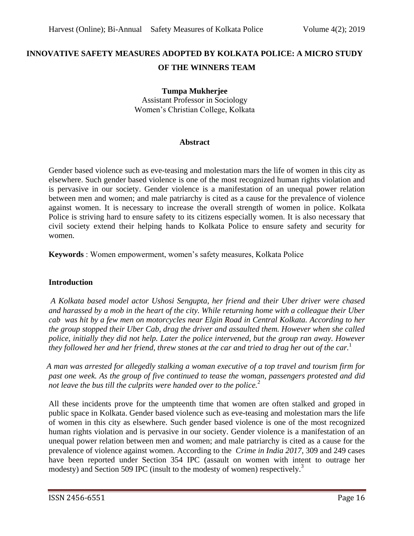# **INNOVATIVE SAFETY MEASURES ADOPTED BY KOLKATA POLICE: A MICRO STUDY OF THE WINNERS TEAM**

# **Tumpa Mukherjee**

Assistant Professor in Sociology Women's Christian College, Kolkata

#### **Abstract**

Gender based violence such as eve-teasing and molestation mars the life of women in this city as elsewhere. Such gender based violence is one of the most recognized human rights violation and is pervasive in our society. Gender violence is a manifestation of an unequal power relation between men and women; and male patriarchy is cited as a cause for the prevalence of violence against women. It is necessary to increase the overall strength of women in police. Kolkata Police is striving hard to ensure safety to its citizens especially women. It is also necessary that civil society extend their helping hands to Kolkata Police to ensure safety and security for women.

**Keywords** : Women empowerment, women's safety measures, Kolkata Police

# **Introduction**

*A Kolkata based model actor Ushosi Sengupta, her friend and their Uber driver were chased and harassed by a mob in the heart of the city. While returning home with a colleague their Uber cab was hit by a few men on motorcycles near Elgin Road in Central Kolkata. According to her the group stopped their Uber Cab, drag the driver and assaulted them. However when she called police, initially they did not help. Later the police intervened, but the group ran away. However they followed her and her friend, threw stones at the car and tried to drag her out of the car.*<sup>1</sup>

 *A man was arrested for allegedly stalking a woman executive of a top travel and tourism firm for past one week. As the group of five continued to tease the woman, passengers protested and did not leave the bus till the culprits were handed over to the police.* 2

 All these incidents prove for the umpteenth time that women are often stalked and groped in public space in Kolkata. Gender based violence such as eve-teasing and molestation mars the life of women in this city as elsewhere. Such gender based violence is one of the most recognized human rights violation and is pervasive in our society. Gender violence is a manifestation of an unequal power relation between men and women; and male patriarchy is cited as a cause for the prevalence of violence against women. According to the *Crime in India 2017*, 309 and 249 cases have been reported under Section 354 IPC (assault on women with intent to outrage her modesty) and Section 509 IPC (insult to the modesty of women) respectively.<sup>3</sup>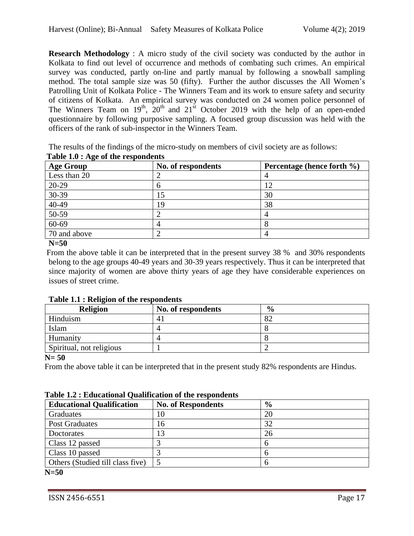**Research Methodology** : A micro study of the civil society was conducted by the author in Kolkata to find out level of occurrence and methods of combating such crimes. An empirical survey was conducted, partly on-line and partly manual by following a snowball sampling method. The total sample size was 50 (fifty). Further the author discusses the All Women's Patrolling Unit of Kolkata Police - The Winners Team and its work to ensure safety and security of citizens of Kolkata. An empirical survey was conducted on 24 women police personnel of The Winners Team on  $19<sup>th</sup>$ ,  $20<sup>th</sup>$  and  $21<sup>st</sup>$  October 2019 with the help of an open-ended questionnaire by following purposive sampling. A focused group discussion was held with the officers of the rank of sub-inspector in the Winners Team.

The results of the findings of the micro-study on members of civil society are as follows:

| <b>Age Group</b> | No. of respondents | Percentage (hence forth %) |  |  |  |
|------------------|--------------------|----------------------------|--|--|--|
| Less than 20     |                    |                            |  |  |  |
| 20-29            |                    | 12                         |  |  |  |
| $30-39$          |                    | 30                         |  |  |  |
| $40-49$          | 19                 | 38                         |  |  |  |
| $50-59$          |                    |                            |  |  |  |
| $60-69$          |                    |                            |  |  |  |
| 70 and above     |                    |                            |  |  |  |

# **Table 1.0 : Age of the respondents**

**N=50**

 From the above table it can be interpreted that in the present survey 38 % and 30% respondents belong to the age groups 40-49 years and 30-39 years respectively. Thus it can be interpreted that since majority of women are above thirty years of age they have considerable experiences on issues of street crime.

| <b>Religion</b>          | No. of respondents | $\frac{6}{9}$ |  |  |
|--------------------------|--------------------|---------------|--|--|
| Hinduism                 | 4.                 | 82            |  |  |
| Islam                    |                    |               |  |  |
| Humanity                 |                    |               |  |  |
| Spiritual, not religious |                    |               |  |  |

 **Table 1.1 : Religion of the respondents**

**N= 50**

From the above table it can be interpreted that in the present study 82% respondents are Hindus.

| Table 1.2 : Educational Qualification of the respondents |  |
|----------------------------------------------------------|--|
|                                                          |  |

| <b>Educational Qualification</b> | <b>No. of Respondents</b> | $\frac{6}{9}$ |
|----------------------------------|---------------------------|---------------|
| Graduates                        | 10                        | 20            |
| <b>Post Graduates</b>            | 16                        | 32            |
| Doctorates                       | 13                        | 26            |
| Class 12 passed                  |                           |               |
| Class 10 passed                  |                           |               |
| Others (Studied till class five) |                           |               |

**N=50**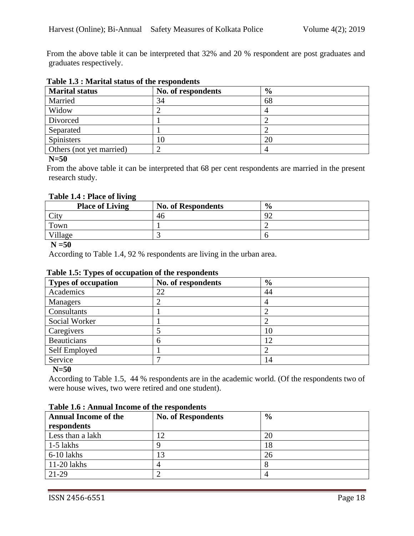From the above table it can be interpreted that 32% and 20 % respondent are post graduates and graduates respectively.

| <b>Marital status</b>    | No. of respondents | $\frac{6}{9}$ |
|--------------------------|--------------------|---------------|
| Married                  | 34                 | 68            |
| Widow                    |                    |               |
| Divorced                 |                    |               |
| Separated                |                    |               |
| <b>Spinisters</b>        | 10                 | 20            |
| Others (not yet married) |                    |               |

### **Table 1.3 : Marital status of the respondents**

### **N=50**

 From the above table it can be interpreted that 68 per cent respondents are married in the present research study.

### **Table 1.4 : Place of living**

| <b>Place of Living</b> | <b>No. of Respondents</b> | $\frac{0}{0}$ |
|------------------------|---------------------------|---------------|
| City                   | 46                        | o٢<br>∼       |
| Town                   |                           |               |
| $V$ illage             |                           |               |

#### **N =50**

According to Table 1.4, 92 % respondents are living in the urban area.

# **Table 1.5: Types of occupation of the respondents**

| <b>Types of occupation</b> | No. of respondents | $\frac{6}{6}$ |
|----------------------------|--------------------|---------------|
| Academics                  | 22                 | 44            |
| Managers                   |                    |               |
| Consultants                |                    |               |
| Social Worker              |                    |               |
| Caregivers                 |                    | 10            |
| <b>Beauticians</b>         | n                  | 12            |
| Self Employed              |                    |               |
| Service                    |                    | 14            |

**N=50**

 According to Table 1.5, 44 % respondents are in the academic world. (Of the respondents two of were house wives, two were retired and one student).

| TWOTO THO I THIRD WAS THOUGHTO OF WHO I COD ON WORLD<br><b>Annual Income of the</b><br>$\frac{6}{6}$<br><b>No. of Respondents</b> |  |    |  |  |  |  |
|-----------------------------------------------------------------------------------------------------------------------------------|--|----|--|--|--|--|
| respondents                                                                                                                       |  |    |  |  |  |  |
| Less than a lakh                                                                                                                  |  | 20 |  |  |  |  |
| $1-5$ lakhs                                                                                                                       |  | 18 |  |  |  |  |
| 6-10 lakhs                                                                                                                        |  | 26 |  |  |  |  |
| $11-20$ lakhs                                                                                                                     |  |    |  |  |  |  |
| $21-29$                                                                                                                           |  |    |  |  |  |  |

#### **Table 1.6 : Annual Income of the respondents**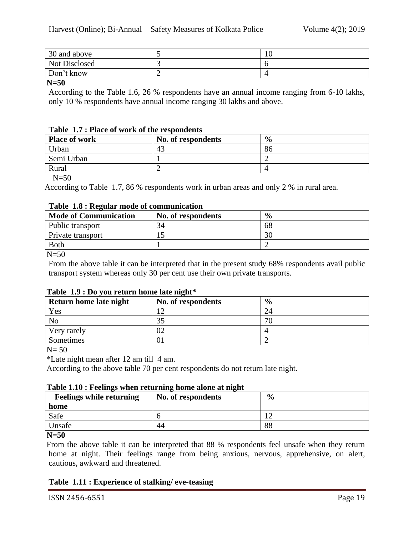| 30 and above         |   | 10 |
|----------------------|---|----|
| <b>Not Disclosed</b> |   |    |
| Don't know           | - |    |

**N=50**

 According to the Table 1.6, 26 % respondents have an annual income ranging from 6-10 lakhs, only 10 % respondents have annual income ranging 30 lakhs and above.

### **Table 1.7 : Place of work of the respondents**

| <b>Place of work</b> | $\frac{6}{9}$ |    |
|----------------------|---------------|----|
| Urban                | 43            | 86 |
| Semi Urban           |               |    |
| Rural                |               |    |

 $N=50$ 

According to Table 1.7, 86 % respondents work in urban areas and only 2 % in rural area.

### **Table 1.8 : Regular mode of communication**

| <b>Mode of Communication</b> | No. of respondents | $\frac{0}{0}$ |
|------------------------------|--------------------|---------------|
| Public transport             | 34                 | 68            |
| Private transport            |                    | 30            |
| <b>Both</b>                  |                    |               |
| $\mathbf{v}$ $\mathbf{v}$    |                    |               |

 $N = 50$ 

 From the above table it can be interpreted that in the present study 68% respondents avail public transport system whereas only 30 per cent use their own private transports.

|  |  | Table 1.9 : Do you return home late night* |  |  |
|--|--|--------------------------------------------|--|--|
|  |  |                                            |  |  |

| Return home late night | No. of respondents | $\frac{6}{9}$ |
|------------------------|--------------------|---------------|
| Yes                    |                    |               |
| N <sub>o</sub>         | 35                 |               |
| Very rarely            | 02                 |               |
| Sometimes              |                    |               |

 $N = 50$ 

\*Late night mean after 12 am till 4 am.

According to the above table 70 per cent respondents do not return late night.

### **Table 1.10 : Feelings when returning home alone at night**

| <b>Feelings while returning</b><br>home | No. of respondents | $\frac{6}{9}$ |
|-----------------------------------------|--------------------|---------------|
| Safe                                    |                    |               |
| Unsafe                                  | 44                 | 88            |
|                                         |                    |               |

**N=50**

 From the above table it can be interpreted that 88 % respondents feel unsafe when they return home at night. Their feelings range from being anxious, nervous, apprehensive, on alert, cautious, awkward and threatened.

# **Table 1.11 : Experience of stalking/ eve-teasing**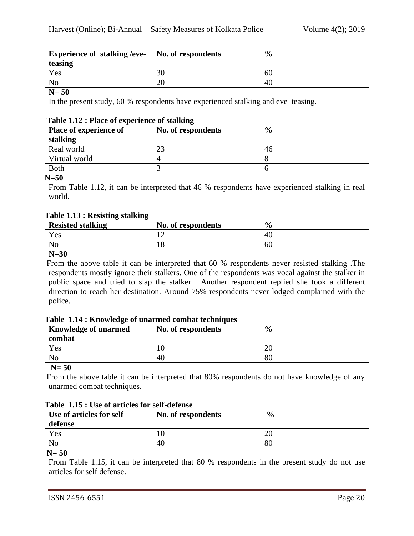| <b>Experience of stalking /eve-</b> | No. of respondents | $\frac{6}{9}$ |
|-------------------------------------|--------------------|---------------|
| teasing                             |                    |               |
| Yes                                 | 30                 | 60            |
| No                                  | 20                 | 40            |

#### **N= 50**

In the present study, 60 % respondents have experienced stalking and eve–teasing.

#### **Table 1.12 : Place of experience of stalking**

| <b>Place of experience of</b> | No. of respondents | $\frac{6}{9}$ |  |  |
|-------------------------------|--------------------|---------------|--|--|
| stalking                      |                    |               |  |  |
| Real world                    | ∠. !               | 46            |  |  |
| Virtual world                 |                    |               |  |  |
| <b>Both</b>                   |                    |               |  |  |

**N=50**

 From Table 1.12, it can be interpreted that 46 % respondents have experienced stalking in real world.

#### **Table 1.13 : Resisting stalking**

| <b>Resisted stalking</b> | No. of respondents | $\frac{6}{9}$ |
|--------------------------|--------------------|---------------|
| Yes                      |                    | 40            |
| No                       | 10                 | 60            |
| $- - - - -$              |                    |               |

#### **N=30**

 From the above table it can be interpreted that 60 % respondents never resisted stalking .The respondents mostly ignore their stalkers. One of the respondents was vocal against the stalker in public space and tried to slap the stalker. Another respondent replied she took a different direction to reach her destination. Around 75% respondents never lodged complained with the police.

#### **Table 1.14 : Knowledge of unarmed combat techniques**

| <b>Knowledge of unarmed</b><br>No. of respondents |    | $\frac{0}{0}$ |
|---------------------------------------------------|----|---------------|
| combat                                            |    |               |
| Yes                                               |    | ZU.           |
| N <sub>o</sub>                                    | 40 | 80            |
|                                                   |    |               |

**N= 50** 

From the above table it can be interpreted that 80% respondents do not have knowledge of any unarmed combat techniques.

#### **Table 1.15 : Use of articles for self-defense**

| Use of articles for self<br>defense | No. of respondents | $\frac{6}{9}$ |
|-------------------------------------|--------------------|---------------|
| Yes                                 | 10                 | ZU.           |
| N <sub>o</sub>                      | 40                 | 80            |

#### **N= 50**

 From Table 1.15, it can be interpreted that 80 % respondents in the present study do not use articles for self defense.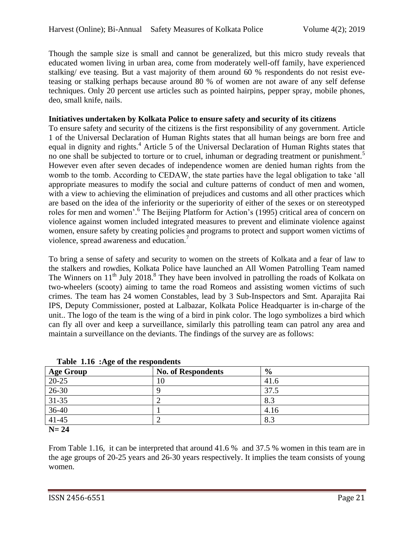Though the sample size is small and cannot be generalized, but this micro study reveals that educated women living in urban area, come from moderately well-off family, have experienced stalking/ eve teasing. But a vast majority of them around 60 % respondents do not resist eveteasing or stalking perhaps because around 80 % of women are not aware of any self defense techniques. Only 20 percent use articles such as pointed hairpins, pepper spray, mobile phones, deo, small knife, nails.

# **Initiatives undertaken by Kolkata Police to ensure safety and security of its citizens**

 To ensure safety and security of the citizens is the first responsibility of any government. Article 1 of the Universal Declaration of Human Rights states that all human beings are born free and equal in dignity and rights.<sup>4</sup> Article 5 of the Universal Declaration of Human Rights states that no one shall be subjected to torture or to cruel, inhuman or degrading treatment or punishment.<sup>5</sup> However even after seven decades of independence women are denied human rights from the womb to the tomb. According to CEDAW, the state parties have the legal obligation to take 'all appropriate measures to modify the social and culture patterns of conduct of men and women, with a view to achieving the elimination of prejudices and customs and all other practices which are based on the idea of the inferiority or the superiority of either of the sexes or on stereotyped roles for men and women'.<sup>6</sup> The Beijing Platform for Action's (1995) critical area of concern on violence against women included integrated measures to prevent and eliminate violence against women, ensure safety by creating policies and programs to protect and support women victims of violence, spread awareness and education.<sup>7</sup>

 To bring a sense of safety and security to women on the streets of Kolkata and a fear of law to the stalkers and rowdies, Kolkata Police have launched an All Women Patrolling Team named The Winners on  $11<sup>th</sup>$  July 2018.<sup>8</sup> They have been involved in patrolling the roads of Kolkata on two-wheelers (scooty) aiming to tame the road Romeos and assisting women victims of such crimes. The team has 24 women Constables, lead by 3 Sub-Inspectors and Smt. Aparajita Rai IPS, Deputy Commissioner, posted at Lalbazar, Kolkata Police Headquarter is in-charge of the unit.. The logo of the team is the wing of a bird in pink color. The logo symbolizes a bird which can fly all over and keep a surveillance, similarly this patrolling team can patrol any area and maintain a surveillance on the deviants. The findings of the survey are as follows:

| rabit 1.10 . Age of the respondents |                           |               |  |
|-------------------------------------|---------------------------|---------------|--|
| <b>Age Group</b>                    | <b>No. of Respondents</b> | $\frac{6}{9}$ |  |
| 20-25                               | 10                        | 41.6          |  |
| 26-30                               |                           | 37.5          |  |
| $31 - 35$                           |                           | 8.3           |  |
| $36-40$                             |                           | 4.16          |  |
| $41 - 45$                           |                           | 8.3           |  |
| ____                                |                           |               |  |

**Table 1.16 :Age of the respondents**

**N= 24**

From Table 1.16, it can be interpreted that around 41.6 % and 37.5 % women in this team are in the age groups of 20-25 years and 26-30 years respectively. It implies the team consists of young women.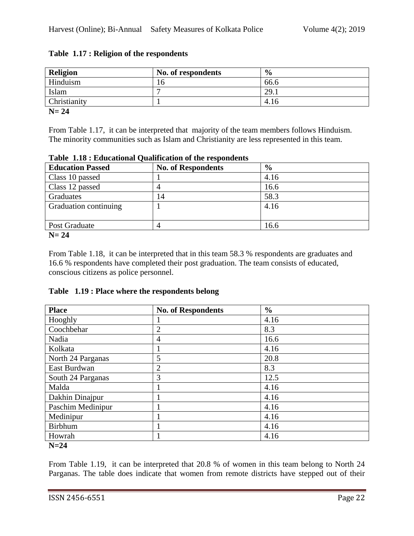| Religion     | No. of respondents | $\frac{6}{6}$ |
|--------------|--------------------|---------------|
| Hinduism     | 16                 | 66.6          |
| Islam        |                    | 29.1          |
| Christianity |                    | 4.16          |

# **Table 1.17 : Religion of the respondents**

**N= 24**

From Table 1.17, it can be interpreted that majority of the team members follows Hinduism. The minority communities such as Islam and Christianity are less represented in this team.

| Tuble 1.10; Eugenboldt Qualification of the responsence |                           |               |  |
|---------------------------------------------------------|---------------------------|---------------|--|
| <b>Education Passed</b>                                 | <b>No. of Respondents</b> | $\frac{6}{9}$ |  |
| Class 10 passed                                         |                           | 4.16          |  |
| Class 12 passed                                         |                           | 16.6          |  |
| Graduates                                               | 14                        | 58.3          |  |
| Graduation continuing                                   |                           | 4.16          |  |
| Post Graduate                                           |                           | 16.6          |  |

# **Table 1.18 : Educational Qualification of the respondents**

**N= 24**

From Table 1.18, it can be interpreted that in this team 58.3 % respondents are graduates and 16.6 % respondents have completed their post graduation. The team consists of educated, conscious citizens as police personnel.

# **Table 1.19 : Place where the respondents belong**

| <b>Place</b>              | <b>No. of Respondents</b> | $\frac{6}{6}$ |  |
|---------------------------|---------------------------|---------------|--|
| Hooghly                   |                           | 4.16          |  |
| Coochbehar                | $\overline{2}$            | 8.3           |  |
| Nadia                     | 4                         | 16.6          |  |
| Kolkata                   |                           | 4.16          |  |
| North 24 Parganas         | 5                         | 20.8          |  |
| East Burdwan              | $\overline{2}$            | 8.3           |  |
| South 24 Parganas         | 3                         | 12.5          |  |
| Malda                     |                           | 4.16          |  |
| Dakhin Dinajpur           |                           | 4.16          |  |
| Paschim Medinipur         |                           | 4.16          |  |
| Medinipur                 |                           | 4.16          |  |
| <b>Birbhum</b>            |                           | 4.16          |  |
| Howrah                    |                           | 4.16          |  |
| $\mathbf{N}$ $\mathbf{A}$ |                           |               |  |

**N=24**

From Table 1.19, it can be interpreted that 20.8 % of women in this team belong to North 24 Parganas. The table does indicate that women from remote districts have stepped out of their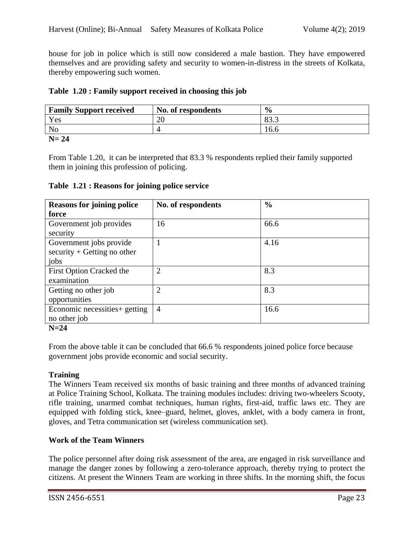house for job in police which is still now considered a male bastion. They have empowered themselves and are providing safety and security to women-in-distress in the streets of Kolkata, thereby empowering such women.

|  |  |  | Table 1.20: Family support received in choosing this job |  |
|--|--|--|----------------------------------------------------------|--|
|  |  |  |                                                          |  |

| <b>Family Support received</b> | No. of respondents | $\frac{0}{0}$ |
|--------------------------------|--------------------|---------------|
| Yes                            | ZU                 | ∩∩<br>ບຸມມ    |
| N <sub>o</sub>                 |                    | 16.6          |
| $\mathbf{H}$                   |                    |               |

### **N= 24**

From Table 1.20, it can be interpreted that 83.3 % respondents replied their family supported them in joining this profession of policing.

**Table 1.21 : Reasons for joining police service**

| <b>Reasons for joining police</b>           | No. of respondents | $\frac{6}{9}$ |
|---------------------------------------------|--------------------|---------------|
| force                                       |                    |               |
| Government job provides                     | 16                 | 66.6          |
| security                                    |                    |               |
| Government jobs provide                     | 1                  | 4.16          |
| $\text{security} + \text{Getting no other}$ |                    |               |
| jobs                                        |                    |               |
| First Option Cracked the                    | $\overline{2}$     | 8.3           |
| examination                                 |                    |               |
| Getting no other job                        | $\overline{2}$     | 8.3           |
| opportunities                               |                    |               |
| Economic necessities+ getting               | $\overline{4}$     | 16.6          |
| no other job                                |                    |               |

### **N=24**

From the above table it can be concluded that 66.6 % respondents joined police force because government jobs provide economic and social security.

# **Training**

The Winners Team received six months of basic training and three months of advanced training at Police Training School, Kolkata. The training modules includes: driving two-wheelers Scooty, rifle training, unarmed combat techniques, human rights, first-aid, traffic laws etc. They are equipped with folding stick, knee–guard, helmet, gloves, anklet, with a body camera in front, gloves, and Tetra communication set (wireless communication set).

# **Work of the Team Winners**

The police personnel after doing risk assessment of the area, are engaged in risk surveillance and manage the danger zones by following a zero-tolerance approach, thereby trying to protect the citizens. At present the Winners Team are working in three shifts. In the morning shift, the focus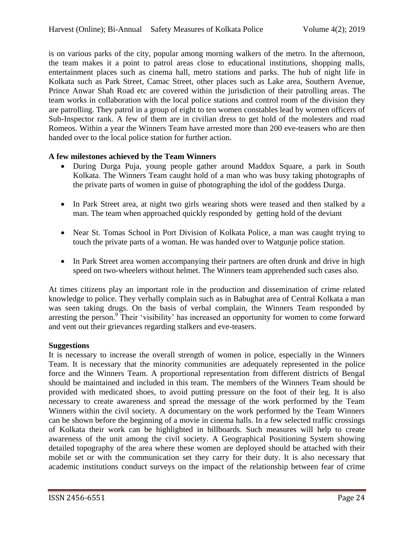is on various parks of the city, popular among morning walkers of the metro. In the afternoon, the team makes it a point to patrol areas close to educational institutions, shopping malls, entertainment places such as cinema hall, metro stations and parks. The hub of night life in Kolkata such as Park Street, Camac Street, other places such as Lake area, Southern Avenue, Prince Anwar Shah Road etc are covered within the jurisdiction of their patrolling areas. The team works in collaboration with the local police stations and control room of the division they are patrolling. They patrol in a group of eight to ten women constables lead by women officers of Sub-Inspector rank. A few of them are in civilian dress to get hold of the molesters and road Romeos. Within a year the Winners Team have arrested more than 200 eve-teasers who are then handed over to the local police station for further action.

### **A few milestones achieved by the Team Winners**

- During Durga Puja, young people gather around Maddox Square, a park in South Kolkata. The Winners Team caught hold of a man who was busy taking photographs of the private parts of women in guise of photographing the idol of the goddess Durga.
- In Park Street area, at night two girls wearing shots were teased and then stalked by a man. The team when approached quickly responded by getting hold of the deviant
- Near St. Tomas School in Port Division of Kolkata Police, a man was caught trying to touch the private parts of a woman. He was handed over to Watgunje police station.
- In Park Street area women accompanying their partners are often drunk and drive in high speed on two-wheelers without helmet. The Winners team apprehended such cases also.

At times citizens play an important role in the production and dissemination of crime related knowledge to police. They verbally complain such as in Babughat area of Central Kolkata a man was seen taking drugs. On the basis of verbal complain, the Winners Team responded by arresting the person.<sup>9</sup> Their 'visibility' has increased an opportunity for women to come forward and vent out their grievances regarding stalkers and eve-teasers.

### **Suggestions**

It is necessary to increase the overall strength of women in police, especially in the Winners Team. It is necessary that the minority communities are adequately represented in the police force and the Winners Team. A proportional representation from different districts of Bengal should be maintained and included in this team. The members of the Winners Team should be provided with medicated shoes, to avoid putting pressure on the foot of their leg. It is also necessary to create awareness and spread the message of the work performed by the Team Winners within the civil society. A documentary on the work performed by the Team Winners can be shown before the beginning of a movie in cinema halls. In a few selected traffic crossings of Kolkata their work can be highlighted in billboards. Such measures will help to create awareness of the unit among the civil society. A Geographical Positioning System showing detailed topography of the area where these women are deployed should be attached with their mobile set or with the communication set they carry for their duty. It is also necessary that academic institutions conduct surveys on the impact of the relationship between fear of crime